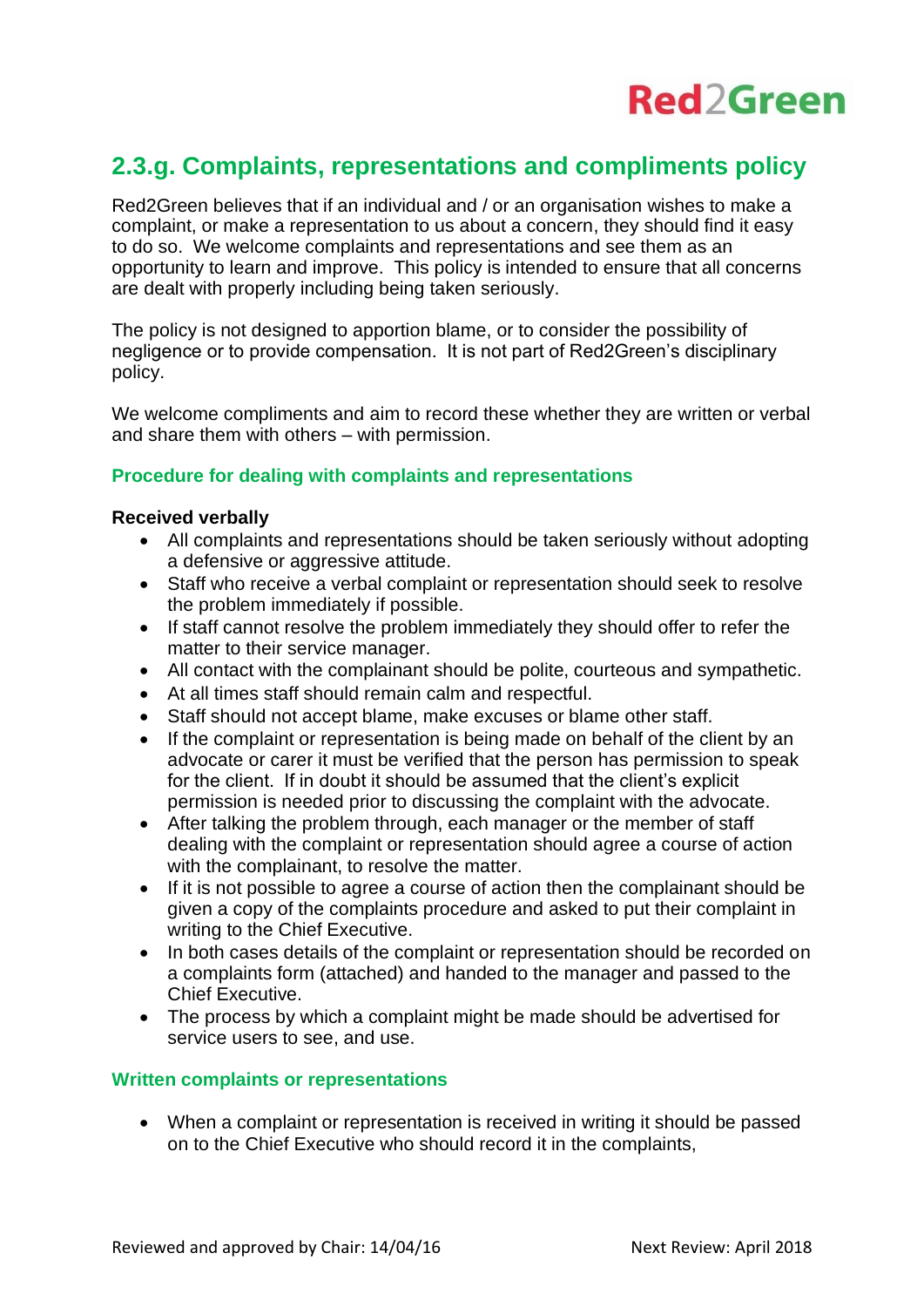# **Red2Green**

### **2.3.g. Complaints, representations and compliments policy**

Red2Green believes that if an individual and / or an organisation wishes to make a complaint, or make a representation to us about a concern, they should find it easy to do so. We welcome complaints and representations and see them as an opportunity to learn and improve. This policy is intended to ensure that all concerns are dealt with properly including being taken seriously.

The policy is not designed to apportion blame, or to consider the possibility of negligence or to provide compensation. It is not part of Red2Green's disciplinary policy.

We welcome compliments and aim to record these whether they are written or verbal and share them with others – with permission.

#### **Procedure for dealing with complaints and representations**

#### **Received verbally**

- All complaints and representations should be taken seriously without adopting a defensive or aggressive attitude.
- Staff who receive a verbal complaint or representation should seek to resolve the problem immediately if possible.
- If staff cannot resolve the problem immediately they should offer to refer the matter to their service manager.
- All contact with the complainant should be polite, courteous and sympathetic.
- At all times staff should remain calm and respectful.
- Staff should not accept blame, make excuses or blame other staff.
- If the complaint or representation is being made on behalf of the client by an advocate or carer it must be verified that the person has permission to speak for the client. If in doubt it should be assumed that the client's explicit permission is needed prior to discussing the complaint with the advocate.
- After talking the problem through, each manager or the member of staff dealing with the complaint or representation should agree a course of action with the complainant, to resolve the matter.
- If it is not possible to agree a course of action then the complainant should be given a copy of the complaints procedure and asked to put their complaint in writing to the Chief Executive.
- In both cases details of the complaint or representation should be recorded on a complaints form (attached) and handed to the manager and passed to the Chief Executive.
- The process by which a complaint might be made should be advertised for service users to see, and use.

#### **Written complaints or representations**

• When a complaint or representation is received in writing it should be passed on to the Chief Executive who should record it in the complaints,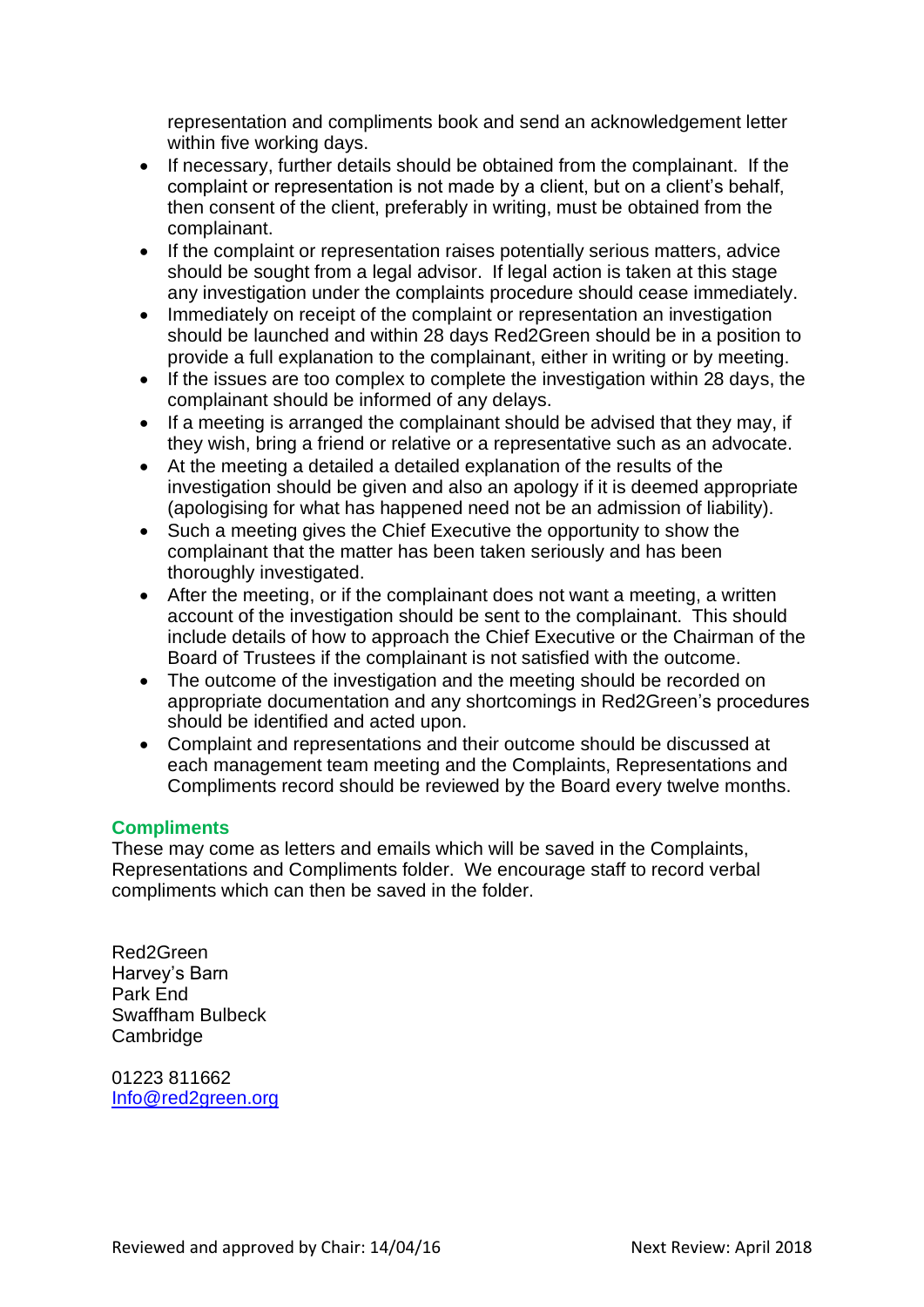representation and compliments book and send an acknowledgement letter within five working days.

- If necessary, further details should be obtained from the complainant. If the complaint or representation is not made by a client, but on a client's behalf, then consent of the client, preferably in writing, must be obtained from the complainant.
- If the complaint or representation raises potentially serious matters, advice should be sought from a legal advisor. If legal action is taken at this stage any investigation under the complaints procedure should cease immediately.
- Immediately on receipt of the complaint or representation an investigation should be launched and within 28 days Red2Green should be in a position to provide a full explanation to the complainant, either in writing or by meeting.
- If the issues are too complex to complete the investigation within 28 days, the complainant should be informed of any delays.
- If a meeting is arranged the complainant should be advised that they may, if they wish, bring a friend or relative or a representative such as an advocate.
- At the meeting a detailed a detailed explanation of the results of the investigation should be given and also an apology if it is deemed appropriate (apologising for what has happened need not be an admission of liability).
- Such a meeting gives the Chief Executive the opportunity to show the complainant that the matter has been taken seriously and has been thoroughly investigated.
- After the meeting, or if the complainant does not want a meeting, a written account of the investigation should be sent to the complainant. This should include details of how to approach the Chief Executive or the Chairman of the Board of Trustees if the complainant is not satisfied with the outcome.
- The outcome of the investigation and the meeting should be recorded on appropriate documentation and any shortcomings in Red2Green's procedures should be identified and acted upon.
- Complaint and representations and their outcome should be discussed at each management team meeting and the Complaints, Representations and Compliments record should be reviewed by the Board every twelve months.

#### **Compliments**

These may come as letters and emails which will be saved in the Complaints, Representations and Compliments folder. We encourage staff to record verbal compliments which can then be saved in the folder.

Red2Green Harvey's Barn Park End Swaffham Bulbeck Cambridge

01223 811662 [Info@red2green.org](mailto:Info@red2green.org)